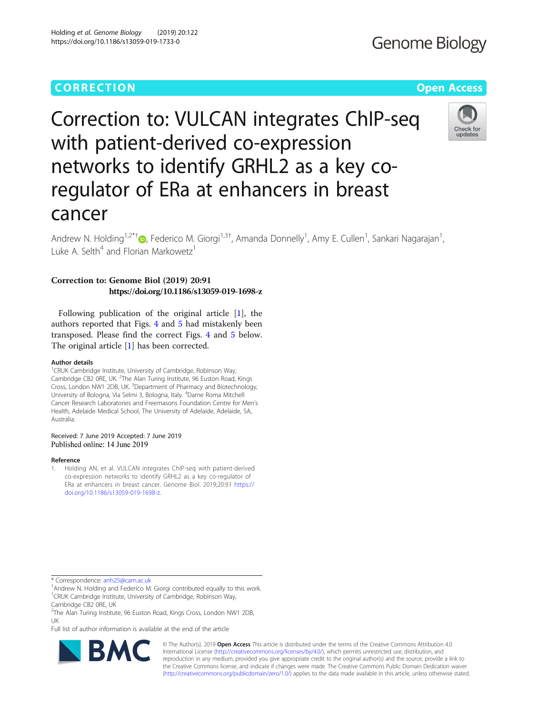### CORR EC TION Open [Access](http://crossmark.crossref.org/dialog/?doi=10.1186/s13059-019-1733-0&domain=pdf)

# **Genome Biology**

## Correction to: VULCAN integrates ChIP-seq with patient-derived co-expression networks to identify GRHL2 as a key coregulator of ERa at enhancers in breast cancer



Andrew N. Holding<sup>1,2\*[†](http://orcid.org/0000-0002-8459-7048)</sup>®, Federico M. Giorgi<sup>1,3†</sup>, Amanda Donnelly<sup>1</sup>, Amy E. Cullen<sup>1</sup>, Sankari Nagarajan<sup>1</sup> , Luke A. Selth<sup>4</sup> and Florian Markowetz<sup>1</sup>

### Correction to: Genome Biol (2019) 20:91 https://doi.org/10.1186/s13059-019-1698-z

Following publication of the original article [1], the authors reported that Figs. [4](#page-1-0) and [5](#page-1-0) had mistakenly been transposed. Please find the correct Figs. [4](#page-1-0) and [5](#page-1-0) below. The original article [1] has been corrected.

#### Author details

<sup>1</sup>CRUK Cambridge Institute, University of Cambridge, Robinson Way, Cambridge CB2 ORE, UK. <sup>2</sup>The Alan Turing Institute, 96 Euston Road, Kings Cross, London NW1 2DB, UK. <sup>3</sup>Department of Pharmacy and Biotechnology, University of Bologna, Via Selmi 3, Bologna, Italy. <sup>4</sup>Dame Roma Mitchell Cancer Research Laboratories and Freemasons Foundation Centre for Men's Health, Adelaide Medical School, The University of Adelaide, Adelaide, SA, Australia.

### Received: 7 June 2019 Accepted: 7 June 2019<br>Published online: 14 June 2019

#### Reference

1. Holding AN, et al. VULCAN integrates ChIP-seq with patient-derived co-expression networks to identify GRHL2 as a key co-regulator of ERa at enhancers in breast cancer. Genome Biol. 2019;20:91 [https://](https://doi.org/10.1186/s13059-019-1698-z) [doi.org/10.1186/s13059-019-1698-z](https://doi.org/10.1186/s13059-019-1698-z).

\* Correspondence: [anh25@cam.ac.uk](mailto:anh25@cam.ac.uk) †

<sup>+</sup>Andrew N. Holding and Federico M. Giorgi contributed equally to this work. <sup>1</sup>CRUK Cambridge Institute, University of Cambridge, Robinson Way,

Cambridge CB2 0RE, UK

<sup>2</sup>The Alan Turing Institute, 96 Euston Road, Kings Cross, London NW1 2DB, UK

Full list of author information is available at the end of the article



© The Author(s). 2019 **Open Access** This article is distributed under the terms of the Creative Commons Attribution 4.0 International License [\(http://creativecommons.org/licenses/by/4.0/](http://creativecommons.org/licenses/by/4.0/)), which permits unrestricted use, distribution, and reproduction in any medium, provided you give appropriate credit to the original author(s) and the source, provide a link to the Creative Commons license, and indicate if changes were made. The Creative Commons Public Domain Dedication waiver [\(http://creativecommons.org/publicdomain/zero/1.0/](http://creativecommons.org/publicdomain/zero/1.0/)) applies to the data made available in this article, unless otherwise stated.